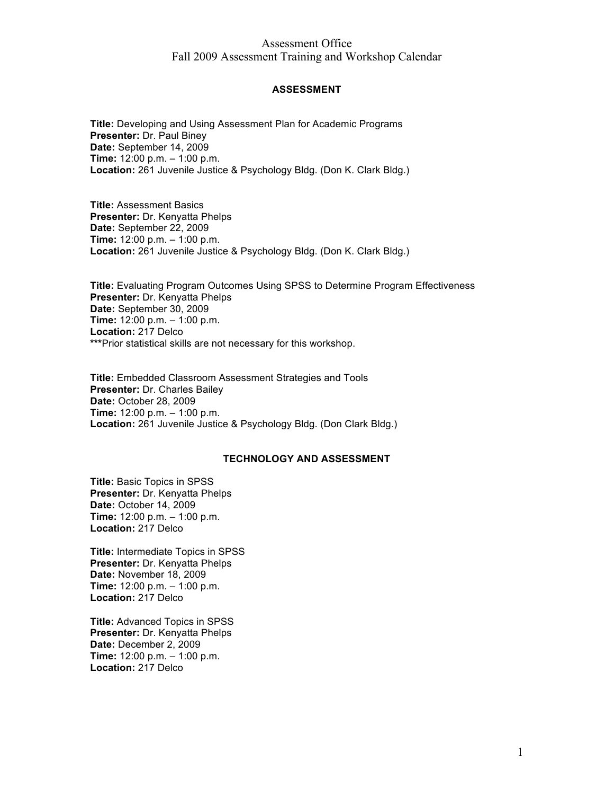# Assessment Office Fall 2009 Assessment Training and Workshop Calendar

### **ASSESSMENT**

**Title:** Developing and Using Assessment Plan for Academic Programs **Presenter:** Dr. Paul Biney **Date:** September 14, 2009 **Time:** 12:00 p.m. – 1:00 p.m. **Location:** 261 Juvenile Justice & Psychology Bldg. (Don K. Clark Bldg.)

**Title:** Assessment Basics **Presenter:** Dr. Kenyatta Phelps **Date:** September 22, 2009 **Time:** 12:00 p.m. – 1:00 p.m. **Location:** 261 Juvenile Justice & Psychology Bldg. (Don K. Clark Bldg.)

**Title:** Evaluating Program Outcomes Using SPSS to Determine Program Effectiveness **Presenter:** Dr. Kenyatta Phelps **Date:** September 30, 2009 **Time:** 12:00 p.m. – 1:00 p.m. **Location:** 217 Delco **\*\*\***Prior statistical skills are not necessary for this workshop.

**Title:** Embedded Classroom Assessment Strategies and Tools **Presenter:** Dr. Charles Bailey **Date:** October 28, 2009 **Time:** 12:00 p.m. – 1:00 p.m. **Location:** 261 Juvenile Justice & Psychology Bldg. (Don Clark Bldg.)

### **TECHNOLOGY AND ASSESSMENT**

**Title:** Basic Topics in SPSS **Presenter:** Dr. Kenyatta Phelps **Date:** October 14, 2009 **Time:** 12:00 p.m. – 1:00 p.m. **Location:** 217 Delco

**Title:** Intermediate Topics in SPSS **Presenter:** Dr. Kenyatta Phelps **Date:** November 18, 2009 **Time:** 12:00 p.m. – 1:00 p.m. **Location:** 217 Delco

**Title:** Advanced Topics in SPSS **Presenter:** Dr. Kenyatta Phelps **Date:** December 2, 2009 **Time:** 12:00 p.m. – 1:00 p.m. **Location:** 217 Delco